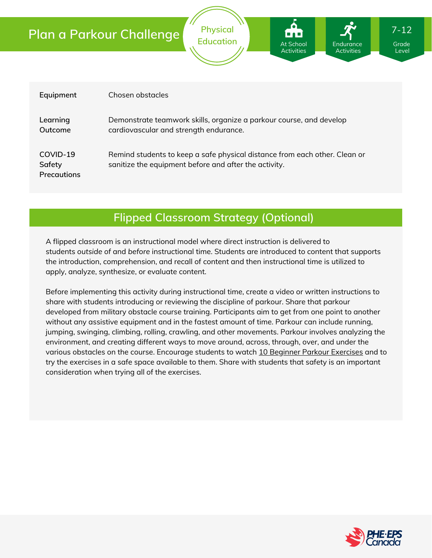| Equipment                         | Chosen obstacles                                                                                                                    |
|-----------------------------------|-------------------------------------------------------------------------------------------------------------------------------------|
| Learning<br>Outcome               | Demonstrate teamwork skills, organize a parkour course, and develop<br>cardiovascular and strength endurance.                       |
| COVID-19<br>Safety<br>Precautions | Remind students to keep a safe physical distance from each other. Clean or<br>sanitize the equipment before and after the activity. |

**Physical Education**

At School **Activities**  **Endurance Activities** 

### **Flipped Classroom Strategy (Optional)**

A flipped classroom is an instructional model where direct instruction is delivered to students *outside of* and *before* instructional time. Students are introduced to content that supports the introduction, comprehension, and recall of content and then instructional time is utilized to apply, analyze, synthesize, or evaluate content.

Before implementing this activity during instructional time, create a video or written instructions to share with students introducing or reviewing the discipline of parkour. Share that parkour developed from military obstacle course training. Participants aim to get from one point to another without any assistive equipment and in the fastest amount of time. Parkour can include running, jumping, swinging, climbing, rolling, crawling, and other movements. Parkour involves analyzing the environment, and creating different ways to move around, across, through, over, and under the various obstacles on the course. Encourage students to watch 10 Beginner Parkour [Exercises](https://youtu.be/kUYUCIrQvhw) and to try the exercises in a safe space available to them. Share with students that safety is an important consideration when trying all of the exercises.



Grade Level

7-12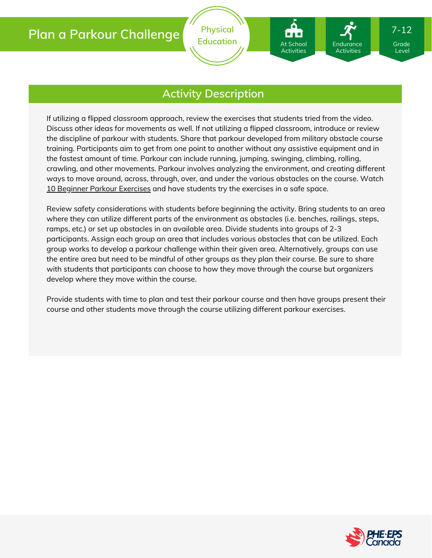At School Activities Endurance Activities

### **Activity Description**

If utilizing a flipped classroom approach, review the exercises that students tried from the video. Discuss other ideas for movements as well. If not utilizing a flipped classroom, introduce or review the discipline of parkour with students. Share that parkour developed from military obstacle course training. Participants aim to get from one point to another without any assistive equipment and in the fastest amount of time. Parkour can include running, jumping, swinging, climbing, rolling, crawling, and other movements. Parkour involves analyzing the environment, and creating different ways to move around, across, through, over, and under the various obstacles on the course. Watch 10 Beginner Parkour [Exercises](https://youtu.be/kUYUCIrQvhw) and have students try the exercises in a safe space.

Review safety considerations with students before beginning the activity. Bring students to an area where they can utilize different parts of the environment as obstacles (i.e. benches, railings, steps, ramps, etc.) or set up obstacles in an available area. Divide students into groups of 2-3 participants. Assign each group an area that includes various obstacles that can be utilized. Each group works to develop a parkour challenge within their given area. Alternatively, groups can use the entire area but need to be mindful of other groups as they plan their course. Be sure to share with students that participants can choose to how they move through the course but organizers develop where they move within the course.

Provide students with time to plan and test their parkour course and then have groups present their course and other students move through the course utilizing different parkour exercises.



Level

7-12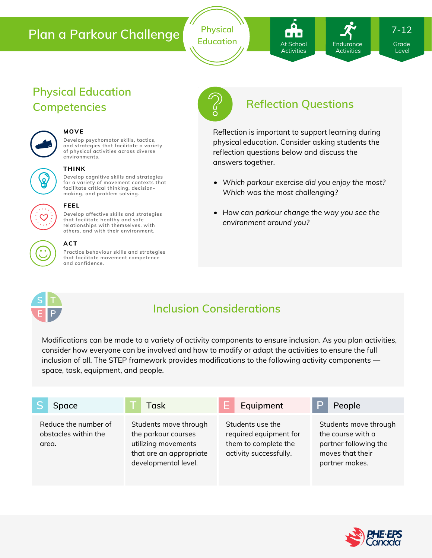**Physical** Education **At School** Endurance Grade

At School **Activities** 

Endurance Activities

7-12

Level

# **Physical Education Competencies Reflection Questions**



#### **MOVE**

**Develop psychomotor skills, tactics, and strategies that facilitate a variety of physical activities across diverse environments.**



#### **THINK**

**Develop cognitive skills and strategies for a variety of movement contexts that facilitate critical thinking, decision making, and problem solving.**



#### **FEEL**

**Develop affective skills and strategies that facilitate healthy and safe relationships with themselves, with others, and with their environment.**



### **ACT**

**Practice behaviour skills and strategies that facilitate movement competence and confidence.**



Reflection is important to support learning during physical education. Consider asking students the reflection questions below and discuss the answers together.

- *Which parkour exercise did you enjoy the most? Which was the most challenging?*
- *How can parkour change the way you see the environment around you?*



### **Inclusion Considerations**

Modifications can be made to a variety of activity components to ensure inclusion. As you plan activities, consider how everyone can be involved and how to modify or adapt the activities to ensure the full inclusion of all. The STEP framework provides modifications to the following activity components space, task, equipment, and people.

| Space                                                 | Task                                                                                                                   | Equipment                                                                                    | ⊃<br>People                                                                                               |
|-------------------------------------------------------|------------------------------------------------------------------------------------------------------------------------|----------------------------------------------------------------------------------------------|-----------------------------------------------------------------------------------------------------------|
| Reduce the number of<br>obstacles within the<br>area. | Students move through<br>the parkour courses<br>utilizing movements<br>that are an appropriate<br>developmental level. | Students use the<br>required equipment for<br>them to complete the<br>activity successfully. | Students move through<br>the course with a<br>partner following the<br>moves that their<br>partner makes. |